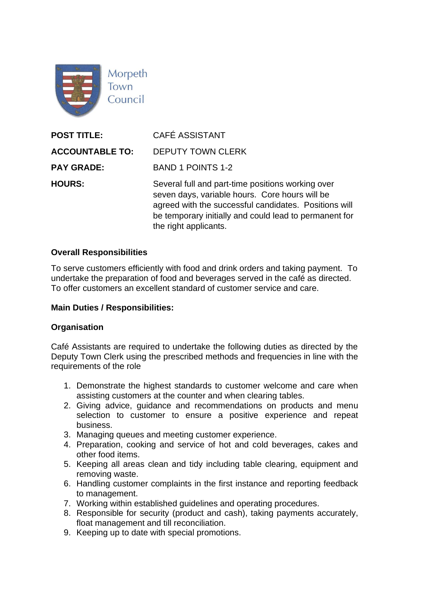

| <b>POST TITLE:</b>     | <b>CAFÉ ASSISTANT</b>                                                                                                                                                                                                                           |
|------------------------|-------------------------------------------------------------------------------------------------------------------------------------------------------------------------------------------------------------------------------------------------|
| <b>ACCOUNTABLE TO:</b> | <b>DEPUTY TOWN CLERK</b>                                                                                                                                                                                                                        |
| <b>PAY GRADE:</b>      | <b>BAND 1 POINTS 1-2</b>                                                                                                                                                                                                                        |
| <b>HOURS:</b>          | Several full and part-time positions working over<br>seven days, variable hours. Core hours will be<br>agreed with the successful candidates. Positions will<br>be temporary initially and could lead to permanent for<br>the right applicants. |

#### **Overall Responsibilities**

To serve customers efficiently with food and drink orders and taking payment. To undertake the preparation of food and beverages served in the café as directed. To offer customers an excellent standard of customer service and care.

## **Main Duties / Responsibilities:**

#### **Organisation**

Café Assistants are required to undertake the following duties as directed by the Deputy Town Clerk using the prescribed methods and frequencies in line with the requirements of the role

- 1. Demonstrate the highest standards to customer welcome and care when assisting customers at the counter and when clearing tables.
- 2. Giving advice, guidance and recommendations on products and menu selection to customer to ensure a positive experience and repeat business.
- 3. Managing queues and meeting customer experience.
- 4. Preparation, cooking and service of hot and cold beverages, cakes and other food items.
- 5. Keeping all areas clean and tidy including table clearing, equipment and removing waste.
- 6. Handling customer complaints in the first instance and reporting feedback to management.
- 7. Working within established guidelines and operating procedures.
- 8. Responsible for security (product and cash), taking payments accurately, float management and till reconciliation.
- 9. Keeping up to date with special promotions.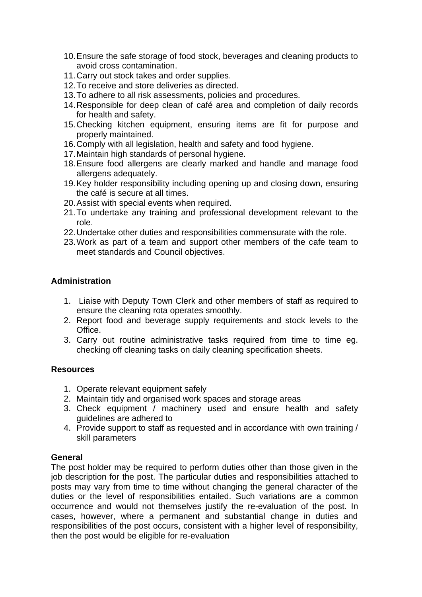- 10.Ensure the safe storage of food stock, beverages and cleaning products to avoid cross contamination.
- 11.Carry out stock takes and order supplies.
- 12.To receive and store deliveries as directed.
- 13.To adhere to all risk assessments, policies and procedures.
- 14.Responsible for deep clean of café area and completion of daily records for health and safety.
- 15.Checking kitchen equipment, ensuring items are fit for purpose and properly maintained.
- 16.Comply with all legislation, health and safety and food hygiene.
- 17.Maintain high standards of personal hygiene.
- 18.Ensure food allergens are clearly marked and handle and manage food allergens adequately.
- 19.Key holder responsibility including opening up and closing down, ensuring the café is secure at all times.
- 20.Assist with special events when required.
- 21.To undertake any training and professional development relevant to the role.
- 22.Undertake other duties and responsibilities commensurate with the role.
- 23.Work as part of a team and support other members of the cafe team to meet standards and Council objectives.

#### **Administration**

- 1. Liaise with Deputy Town Clerk and other members of staff as required to ensure the cleaning rota operates smoothly.
- 2. Report food and beverage supply requirements and stock levels to the Office.
- 3. Carry out routine administrative tasks required from time to time eg. checking off cleaning tasks on daily cleaning specification sheets.

## **Resources**

- 1. Operate relevant equipment safely
- 2. Maintain tidy and organised work spaces and storage areas
- 3. Check equipment / machinery used and ensure health and safety guidelines are adhered to
- 4. Provide support to staff as requested and in accordance with own training / skill parameters

#### **General**

The post holder may be required to perform duties other than those given in the job description for the post. The particular duties and responsibilities attached to posts may vary from time to time without changing the general character of the duties or the level of responsibilities entailed. Such variations are a common occurrence and would not themselves justify the re-evaluation of the post. In cases, however, where a permanent and substantial change in duties and responsibilities of the post occurs, consistent with a higher level of responsibility, then the post would be eligible for re-evaluation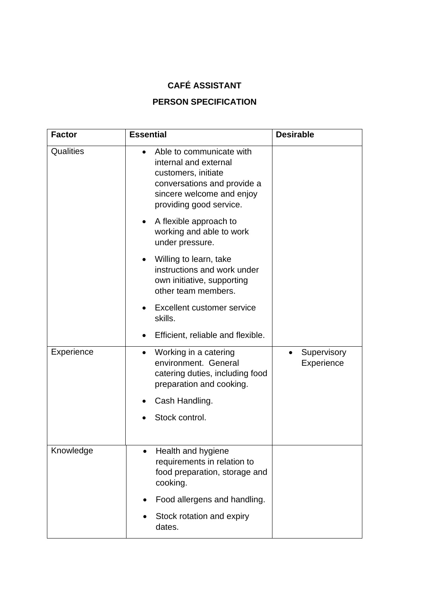# **CAFÉ ASSISTANT**

## **PERSON SPECIFICATION**

| <b>Factor</b> | <b>Essential</b>                                                                                                                                                | <b>Desirable</b>          |
|---------------|-----------------------------------------------------------------------------------------------------------------------------------------------------------------|---------------------------|
| Qualities     | Able to communicate with<br>internal and external<br>customers, initiate<br>conversations and provide a<br>sincere welcome and enjoy<br>providing good service. |                           |
|               | A flexible approach to<br>$\bullet$<br>working and able to work<br>under pressure.                                                                              |                           |
|               | Willing to learn, take<br>instructions and work under<br>own initiative, supporting<br>other team members.                                                      |                           |
|               | Excellent customer service<br>$\bullet$<br>skills.                                                                                                              |                           |
|               | Efficient, reliable and flexible.<br>$\bullet$                                                                                                                  |                           |
| Experience    | Working in a catering<br>$\bullet$<br>environment. General<br>catering duties, including food<br>preparation and cooking.                                       | Supervisory<br>Experience |
|               | Cash Handling.                                                                                                                                                  |                           |
|               | Stock control.                                                                                                                                                  |                           |
| Knowledge     | Health and hygiene<br>requirements in relation to<br>food preparation, storage and<br>cooking.                                                                  |                           |
|               | Food allergens and handling.                                                                                                                                    |                           |
|               | Stock rotation and expiry<br>dates.                                                                                                                             |                           |